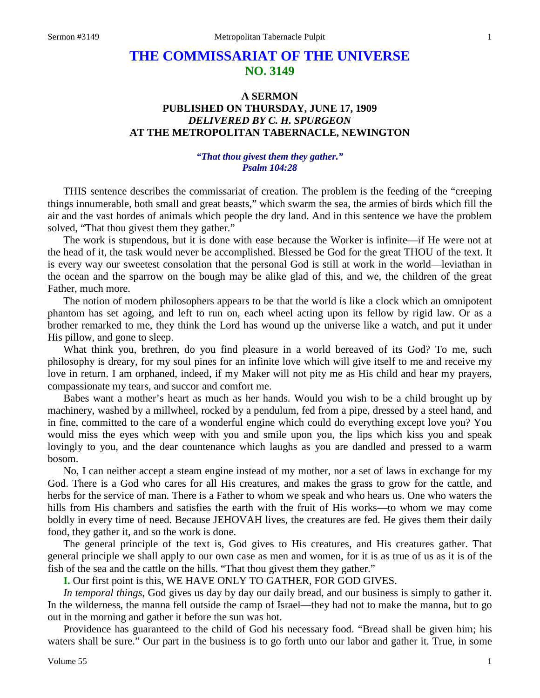# **THE COMMISSARIAT OF THE UNIVERSE NO. 3149**

## **A SERMON PUBLISHED ON THURSDAY, JUNE 17, 1909** *DELIVERED BY C. H. SPURGEON* **AT THE METROPOLITAN TABERNACLE, NEWINGTON**

### *"That thou givest them they gather." Psalm 104:28*

THIS sentence describes the commissariat of creation. The problem is the feeding of the "creeping things innumerable, both small and great beasts," which swarm the sea, the armies of birds which fill the air and the vast hordes of animals which people the dry land. And in this sentence we have the problem solved, "That thou givest them they gather."

The work is stupendous, but it is done with ease because the Worker is infinite—if He were not at the head of it, the task would never be accomplished. Blessed be God for the great THOU of the text. It is every way our sweetest consolation that the personal God is still at work in the world—leviathan in the ocean and the sparrow on the bough may be alike glad of this, and we, the children of the great Father, much more.

The notion of modern philosophers appears to be that the world is like a clock which an omnipotent phantom has set agoing, and left to run on, each wheel acting upon its fellow by rigid law. Or as a brother remarked to me, they think the Lord has wound up the universe like a watch, and put it under His pillow, and gone to sleep.

What think you, brethren, do you find pleasure in a world bereaved of its God? To me, such philosophy is dreary, for my soul pines for an infinite love which will give itself to me and receive my love in return. I am orphaned, indeed, if my Maker will not pity me as His child and hear my prayers, compassionate my tears, and succor and comfort me.

Babes want a mother's heart as much as her hands. Would you wish to be a child brought up by machinery, washed by a millwheel, rocked by a pendulum, fed from a pipe, dressed by a steel hand, and in fine, committed to the care of a wonderful engine which could do everything except love you? You would miss the eyes which weep with you and smile upon you, the lips which kiss you and speak lovingly to you, and the dear countenance which laughs as you are dandled and pressed to a warm bosom.

No, I can neither accept a steam engine instead of my mother, nor a set of laws in exchange for my God. There is a God who cares for all His creatures, and makes the grass to grow for the cattle, and herbs for the service of man. There is a Father to whom we speak and who hears us. One who waters the hills from His chambers and satisfies the earth with the fruit of His works—to whom we may come boldly in every time of need. Because JEHOVAH lives, the creatures are fed. He gives them their daily food, they gather it, and so the work is done.

The general principle of the text is, God gives to His creatures, and His creatures gather. That general principle we shall apply to our own case as men and women, for it is as true of us as it is of the fish of the sea and the cattle on the hills. "That thou givest them they gather."

**I.** Our first point is this, WE HAVE ONLY TO GATHER, FOR GOD GIVES.

*In temporal things*, God gives us day by day our daily bread, and our business is simply to gather it. In the wilderness, the manna fell outside the camp of Israel—they had not to make the manna, but to go out in the morning and gather it before the sun was hot.

Providence has guaranteed to the child of God his necessary food. "Bread shall be given him; his waters shall be sure." Our part in the business is to go forth unto our labor and gather it. True, in some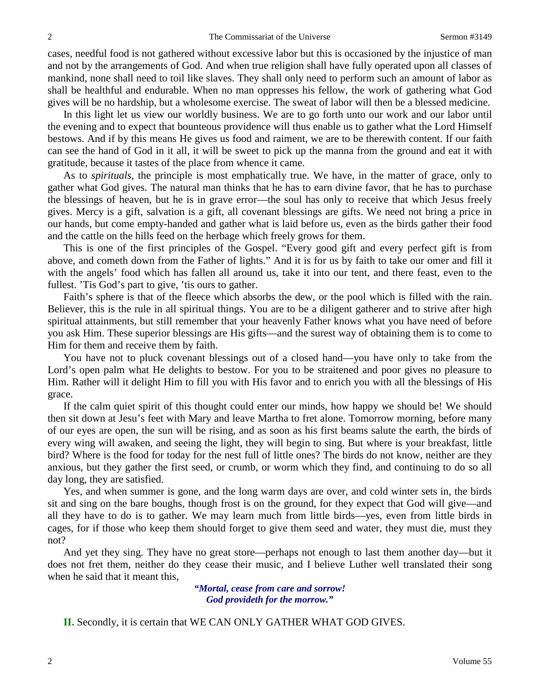cases, needful food is not gathered without excessive labor but this is occasioned by the injustice of man and not by the arrangements of God. And when true religion shall have fully operated upon all classes of mankind, none shall need to toil like slaves. They shall only need to perform such an amount of labor as shall be healthful and endurable. When no man oppresses his fellow, the work of gathering what God gives will be no hardship, but a wholesome exercise. The sweat of labor will then be a blessed medicine.

In this light let us view our worldly business. We are to go forth unto our work and our labor until the evening and to expect that bounteous providence will thus enable us to gather what the Lord Himself bestows. And if by this means He gives us food and raiment, we are to be therewith content. If our faith can see the hand of God in it all, it will be sweet to pick up the manna from the ground and eat it with gratitude, because it tastes of the place from whence it came.

As to *spirituals*, the principle is most emphatically true. We have, in the matter of grace, only to gather what God gives. The natural man thinks that he has to earn divine favor, that he has to purchase the blessings of heaven, but he is in grave error—the soul has only to receive that which Jesus freely gives. Mercy is a gift, salvation is a gift, all covenant blessings are gifts. We need not bring a price in our hands, but come empty-handed and gather what is laid before us, even as the birds gather their food and the cattle on the hills feed on the herbage which freely grows for them.

This is one of the first principles of the Gospel. "Every good gift and every perfect gift is from above, and cometh down from the Father of lights." And it is for us by faith to take our omer and fill it with the angels' food which has fallen all around us, take it into our tent, and there feast, even to the fullest. 'Tis God's part to give, 'tis ours to gather.

Faith's sphere is that of the fleece which absorbs the dew, or the pool which is filled with the rain. Believer, this is the rule in all spiritual things. You are to be a diligent gatherer and to strive after high spiritual attainments, but still remember that your heavenly Father knows what you have need of before you ask Him. These superior blessings are His gifts—and the surest way of obtaining them is to come to Him for them and receive them by faith.

You have not to pluck covenant blessings out of a closed hand—you have only to take from the Lord's open palm what He delights to bestow. For you to be straitened and poor gives no pleasure to Him. Rather will it delight Him to fill you with His favor and to enrich you with all the blessings of His grace.

If the calm quiet spirit of this thought could enter our minds, how happy we should be! We should then sit down at Jesu's feet with Mary and leave Martha to fret alone. Tomorrow morning, before many of our eyes are open, the sun will be rising, and as soon as his first beams salute the earth, the birds of every wing will awaken, and seeing the light, they will begin to sing. But where is your breakfast, little bird? Where is the food for today for the nest full of little ones? The birds do not know, neither are they anxious, but they gather the first seed, or crumb, or worm which they find, and continuing to do so all day long, they are satisfied.

Yes, and when summer is gone, and the long warm days are over, and cold winter sets in, the birds sit and sing on the bare boughs, though frost is on the ground, for they expect that God will give—and all they have to do is to gather. We may learn much from little birds—yes, even from little birds in cages, for if those who keep them should forget to give them seed and water, they must die, must they not?

And yet they sing. They have no great store—perhaps not enough to last them another day—but it does not fret them, neither do they cease their music, and I believe Luther well translated their song when he said that it meant this,

> *"Mortal, cease from care and sorrow! God provideth for the morrow."*

**II.** Secondly, it is certain that WE CAN ONLY GATHER WHAT GOD GIVES.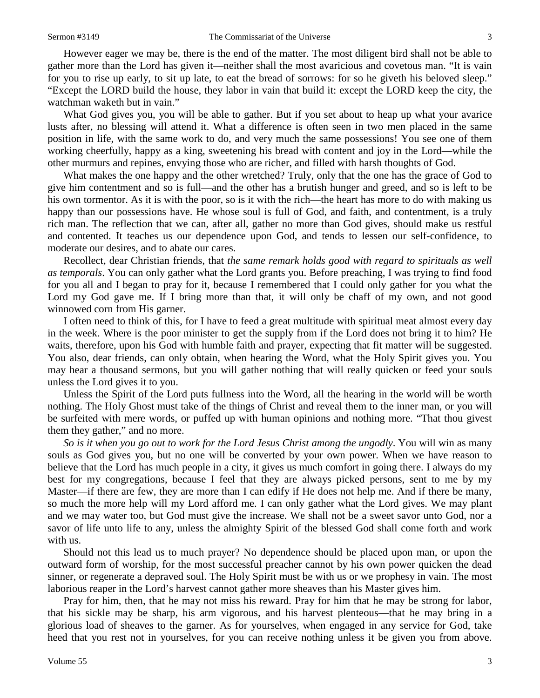However eager we may be, there is the end of the matter. The most diligent bird shall not be able to gather more than the Lord has given it—neither shall the most avaricious and covetous man. "It is vain for you to rise up early, to sit up late, to eat the bread of sorrows: for so he giveth his beloved sleep." "Except the LORD build the house, they labor in vain that build it: except the LORD keep the city, the watchman waketh but in vain."

What God gives you, you will be able to gather. But if you set about to heap up what your avarice lusts after, no blessing will attend it. What a difference is often seen in two men placed in the same position in life, with the same work to do, and very much the same possessions! You see one of them working cheerfully, happy as a king, sweetening his bread with content and joy in the Lord—while the other murmurs and repines, envying those who are richer, and filled with harsh thoughts of God.

What makes the one happy and the other wretched? Truly, only that the one has the grace of God to give him contentment and so is full—and the other has a brutish hunger and greed, and so is left to be his own tormentor. As it is with the poor, so is it with the rich—the heart has more to do with making us happy than our possessions have. He whose soul is full of God, and faith, and contentment, is a truly rich man. The reflection that we can, after all, gather no more than God gives, should make us restful and contented. It teaches us our dependence upon God, and tends to lessen our self-confidence, to moderate our desires, and to abate our cares.

Recollect, dear Christian friends, that *the same remark holds good with regard to spirituals as well as temporals*. You can only gather what the Lord grants you. Before preaching, I was trying to find food for you all and I began to pray for it, because I remembered that I could only gather for you what the Lord my God gave me. If I bring more than that, it will only be chaff of my own, and not good winnowed corn from His garner.

I often need to think of this, for I have to feed a great multitude with spiritual meat almost every day in the week. Where is the poor minister to get the supply from if the Lord does not bring it to him? He waits, therefore, upon his God with humble faith and prayer, expecting that fit matter will be suggested. You also, dear friends, can only obtain, when hearing the Word, what the Holy Spirit gives you. You may hear a thousand sermons, but you will gather nothing that will really quicken or feed your souls unless the Lord gives it to you.

Unless the Spirit of the Lord puts fullness into the Word, all the hearing in the world will be worth nothing. The Holy Ghost must take of the things of Christ and reveal them to the inner man, or you will be surfeited with mere words, or puffed up with human opinions and nothing more. "That thou givest them they gather," and no more.

*So is it when you go out to work for the Lord Jesus Christ among the ungodly*. You will win as many souls as God gives you, but no one will be converted by your own power. When we have reason to believe that the Lord has much people in a city, it gives us much comfort in going there. I always do my best for my congregations, because I feel that they are always picked persons, sent to me by my Master—if there are few, they are more than I can edify if He does not help me. And if there be many, so much the more help will my Lord afford me. I can only gather what the Lord gives. We may plant and we may water too, but God must give the increase. We shall not be a sweet savor unto God, nor a savor of life unto life to any, unless the almighty Spirit of the blessed God shall come forth and work with us.

Should not this lead us to much prayer? No dependence should be placed upon man, or upon the outward form of worship, for the most successful preacher cannot by his own power quicken the dead sinner, or regenerate a depraved soul. The Holy Spirit must be with us or we prophesy in vain. The most laborious reaper in the Lord's harvest cannot gather more sheaves than his Master gives him.

Pray for him, then, that he may not miss his reward. Pray for him that he may be strong for labor, that his sickle may be sharp, his arm vigorous, and his harvest plenteous—that he may bring in a glorious load of sheaves to the garner. As for yourselves, when engaged in any service for God, take heed that you rest not in yourselves, for you can receive nothing unless it be given you from above.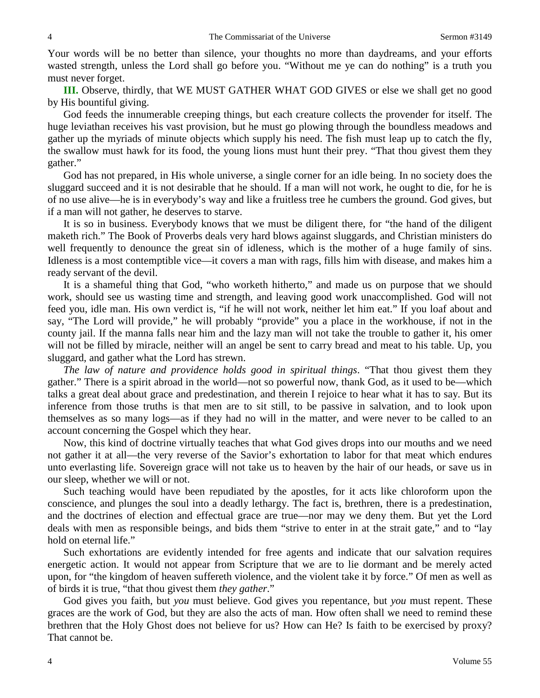Your words will be no better than silence, your thoughts no more than daydreams, and your efforts wasted strength, unless the Lord shall go before you. "Without me ye can do nothing" is a truth you must never forget.

**III.** Observe, thirdly, that WE MUST GATHER WHAT GOD GIVES or else we shall get no good by His bountiful giving.

God feeds the innumerable creeping things, but each creature collects the provender for itself. The huge leviathan receives his vast provision, but he must go plowing through the boundless meadows and gather up the myriads of minute objects which supply his need. The fish must leap up to catch the fly, the swallow must hawk for its food, the young lions must hunt their prey. "That thou givest them they gather."

God has not prepared, in His whole universe, a single corner for an idle being. In no society does the sluggard succeed and it is not desirable that he should. If a man will not work, he ought to die, for he is of no use alive—he is in everybody's way and like a fruitless tree he cumbers the ground. God gives, but if a man will not gather, he deserves to starve.

It is so in business. Everybody knows that we must be diligent there, for "the hand of the diligent maketh rich." The Book of Proverbs deals very hard blows against sluggards, and Christian ministers do well frequently to denounce the great sin of idleness, which is the mother of a huge family of sins. Idleness is a most contemptible vice—it covers a man with rags, fills him with disease, and makes him a ready servant of the devil.

It is a shameful thing that God, "who worketh hitherto," and made us on purpose that we should work, should see us wasting time and strength, and leaving good work unaccomplished. God will not feed you, idle man. His own verdict is, "if he will not work, neither let him eat." If you loaf about and say, "The Lord will provide," he will probably "provide" you a place in the workhouse, if not in the county jail. If the manna falls near him and the lazy man will not take the trouble to gather it, his omer will not be filled by miracle, neither will an angel be sent to carry bread and meat to his table. Up, you sluggard, and gather what the Lord has strewn.

*The law of nature and providence holds good in spiritual things*. "That thou givest them they gather." There is a spirit abroad in the world—not so powerful now, thank God, as it used to be—which talks a great deal about grace and predestination, and therein I rejoice to hear what it has to say. But its inference from those truths is that men are to sit still, to be passive in salvation, and to look upon themselves as so many logs—as if they had no will in the matter, and were never to be called to an account concerning the Gospel which they hear.

Now, this kind of doctrine virtually teaches that what God gives drops into our mouths and we need not gather it at all—the very reverse of the Savior's exhortation to labor for that meat which endures unto everlasting life. Sovereign grace will not take us to heaven by the hair of our heads, or save us in our sleep, whether we will or not.

Such teaching would have been repudiated by the apostles, for it acts like chloroform upon the conscience, and plunges the soul into a deadly lethargy. The fact is, brethren, there is a predestination, and the doctrines of election and effectual grace are true—nor may we deny them. But yet the Lord deals with men as responsible beings, and bids them "strive to enter in at the strait gate," and to "lay hold on eternal life."

Such exhortations are evidently intended for free agents and indicate that our salvation requires energetic action. It would not appear from Scripture that we are to lie dormant and be merely acted upon, for "the kingdom of heaven suffereth violence, and the violent take it by force." Of men as well as of birds it is true, "that thou givest them *they gather*."

God gives you faith, but *you* must believe. God gives you repentance, but *you* must repent. These graces are the work of God, but they are also the acts of man. How often shall we need to remind these brethren that the Holy Ghost does not believe for us? How can He? Is faith to be exercised by proxy? That cannot be.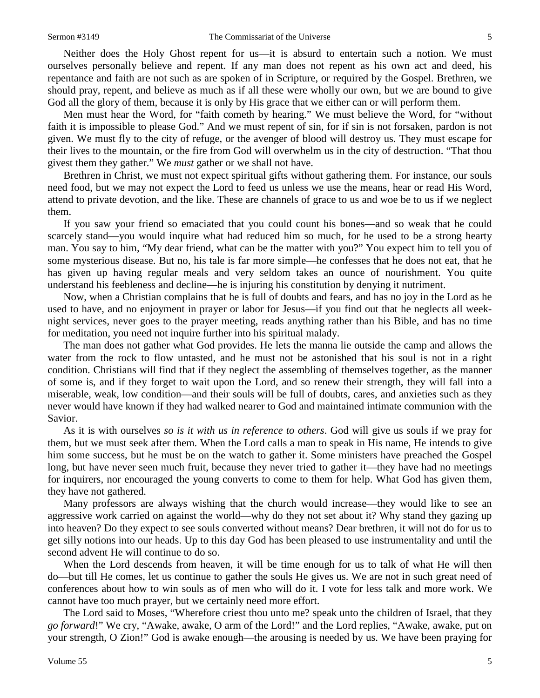Neither does the Holy Ghost repent for us—it is absurd to entertain such a notion. We must ourselves personally believe and repent. If any man does not repent as his own act and deed, his repentance and faith are not such as are spoken of in Scripture, or required by the Gospel. Brethren, we should pray, repent, and believe as much as if all these were wholly our own, but we are bound to give God all the glory of them, because it is only by His grace that we either can or will perform them.

Men must hear the Word, for "faith cometh by hearing." We must believe the Word, for "without faith it is impossible to please God." And we must repent of sin, for if sin is not forsaken, pardon is not given. We must fly to the city of refuge, or the avenger of blood will destroy us. They must escape for their lives to the mountain, or the fire from God will overwhelm us in the city of destruction. "That thou givest them they gather." We *must* gather or we shall not have.

Brethren in Christ, we must not expect spiritual gifts without gathering them. For instance, our souls need food, but we may not expect the Lord to feed us unless we use the means, hear or read His Word, attend to private devotion, and the like. These are channels of grace to us and woe be to us if we neglect them.

If you saw your friend so emaciated that you could count his bones—and so weak that he could scarcely stand—you would inquire what had reduced him so much, for he used to be a strong hearty man. You say to him, "My dear friend, what can be the matter with you?" You expect him to tell you of some mysterious disease. But no, his tale is far more simple—he confesses that he does not eat, that he has given up having regular meals and very seldom takes an ounce of nourishment. You quite understand his feebleness and decline—he is injuring his constitution by denying it nutriment.

Now, when a Christian complains that he is full of doubts and fears, and has no joy in the Lord as he used to have, and no enjoyment in prayer or labor for Jesus—if you find out that he neglects all weeknight services, never goes to the prayer meeting, reads anything rather than his Bible, and has no time for meditation, you need not inquire further into his spiritual malady.

The man does not gather what God provides. He lets the manna lie outside the camp and allows the water from the rock to flow untasted, and he must not be astonished that his soul is not in a right condition. Christians will find that if they neglect the assembling of themselves together, as the manner of some is, and if they forget to wait upon the Lord, and so renew their strength, they will fall into a miserable, weak, low condition—and their souls will be full of doubts, cares, and anxieties such as they never would have known if they had walked nearer to God and maintained intimate communion with the Savior.

As it is with ourselves *so is it with us in reference to others*. God will give us souls if we pray for them, but we must seek after them. When the Lord calls a man to speak in His name, He intends to give him some success, but he must be on the watch to gather it. Some ministers have preached the Gospel long, but have never seen much fruit, because they never tried to gather it—they have had no meetings for inquirers, nor encouraged the young converts to come to them for help. What God has given them, they have not gathered.

Many professors are always wishing that the church would increase—they would like to see an aggressive work carried on against the world—why do they not set about it? Why stand they gazing up into heaven? Do they expect to see souls converted without means? Dear brethren, it will not do for us to get silly notions into our heads. Up to this day God has been pleased to use instrumentality and until the second advent He will continue to do so.

When the Lord descends from heaven, it will be time enough for us to talk of what He will then do—but till He comes, let us continue to gather the souls He gives us. We are not in such great need of conferences about how to win souls as of men who will do it. I vote for less talk and more work. We cannot have too much prayer, but we certainly need more effort.

The Lord said to Moses, "Wherefore criest thou unto me? speak unto the children of Israel, that they *go forward*!" We cry, "Awake, awake, O arm of the Lord!" and the Lord replies, "Awake, awake, put on your strength, O Zion!" God is awake enough—the arousing is needed by us. We have been praying for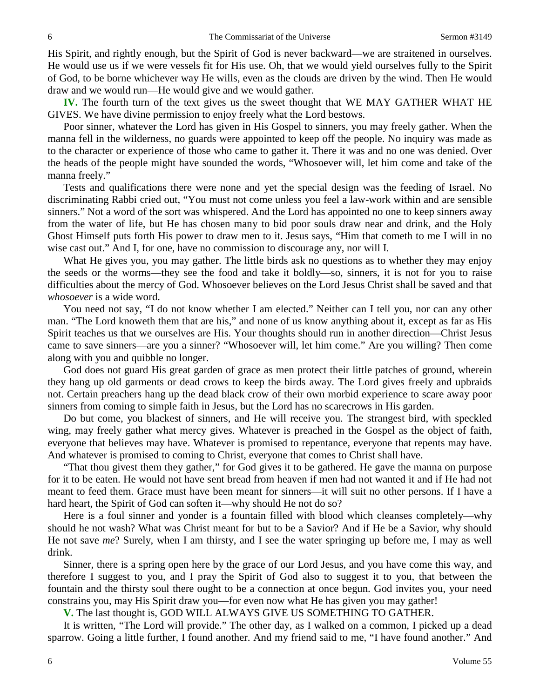His Spirit, and rightly enough, but the Spirit of God is never backward—we are straitened in ourselves. He would use us if we were vessels fit for His use. Oh, that we would yield ourselves fully to the Spirit of God, to be borne whichever way He wills, even as the clouds are driven by the wind. Then He would draw and we would run—He would give and we would gather.

**IV.** The fourth turn of the text gives us the sweet thought that WE MAY GATHER WHAT HE GIVES. We have divine permission to enjoy freely what the Lord bestows.

Poor sinner, whatever the Lord has given in His Gospel to sinners, you may freely gather. When the manna fell in the wilderness, no guards were appointed to keep off the people. No inquiry was made as to the character or experience of those who came to gather it. There it was and no one was denied. Over the heads of the people might have sounded the words, "Whosoever will, let him come and take of the manna freely."

Tests and qualifications there were none and yet the special design was the feeding of Israel. No discriminating Rabbi cried out, "You must not come unless you feel a law-work within and are sensible sinners." Not a word of the sort was whispered. And the Lord has appointed no one to keep sinners away from the water of life, but He has chosen many to bid poor souls draw near and drink, and the Holy Ghost Himself puts forth His power to draw men to it. Jesus says, "Him that cometh to me I will in no wise cast out." And I, for one, have no commission to discourage any, nor will I.

What He gives you, you may gather. The little birds ask no questions as to whether they may enjoy the seeds or the worms—they see the food and take it boldly—so, sinners, it is not for you to raise difficulties about the mercy of God. Whosoever believes on the Lord Jesus Christ shall be saved and that *whosoever* is a wide word.

You need not say, "I do not know whether I am elected." Neither can I tell you, nor can any other man. "The Lord knoweth them that are his," and none of us know anything about it, except as far as His Spirit teaches us that we ourselves are His. Your thoughts should run in another direction—Christ Jesus came to save sinners—are you a sinner? "Whosoever will, let him come." Are you willing? Then come along with you and quibble no longer.

God does not guard His great garden of grace as men protect their little patches of ground, wherein they hang up old garments or dead crows to keep the birds away. The Lord gives freely and upbraids not. Certain preachers hang up the dead black crow of their own morbid experience to scare away poor sinners from coming to simple faith in Jesus, but the Lord has no scarecrows in His garden.

Do but come, you blackest of sinners, and He will receive you. The strangest bird, with speckled wing, may freely gather what mercy gives. Whatever is preached in the Gospel as the object of faith, everyone that believes may have. Whatever is promised to repentance, everyone that repents may have. And whatever is promised to coming to Christ, everyone that comes to Christ shall have.

"That thou givest them they gather," for God gives it to be gathered. He gave the manna on purpose for it to be eaten. He would not have sent bread from heaven if men had not wanted it and if He had not meant to feed them. Grace must have been meant for sinners—it will suit no other persons. If I have a hard heart, the Spirit of God can soften it—why should He not do so?

Here is a foul sinner and yonder is a fountain filled with blood which cleanses completely—why should he not wash? What was Christ meant for but to be a Savior? And if He be a Savior, why should He not save *me*? Surely, when I am thirsty, and I see the water springing up before me, I may as well drink.

Sinner, there is a spring open here by the grace of our Lord Jesus, and you have come this way, and therefore I suggest to you, and I pray the Spirit of God also to suggest it to you, that between the fountain and the thirsty soul there ought to be a connection at once begun. God invites you, your need constrains you, may His Spirit draw you—for even now what He has given you may gather!

**V.** The last thought is, GOD WILL ALWAYS GIVE US SOMETHING TO GATHER.

It is written, "The Lord will provide." The other day, as I walked on a common, I picked up a dead sparrow. Going a little further, I found another. And my friend said to me, "I have found another." And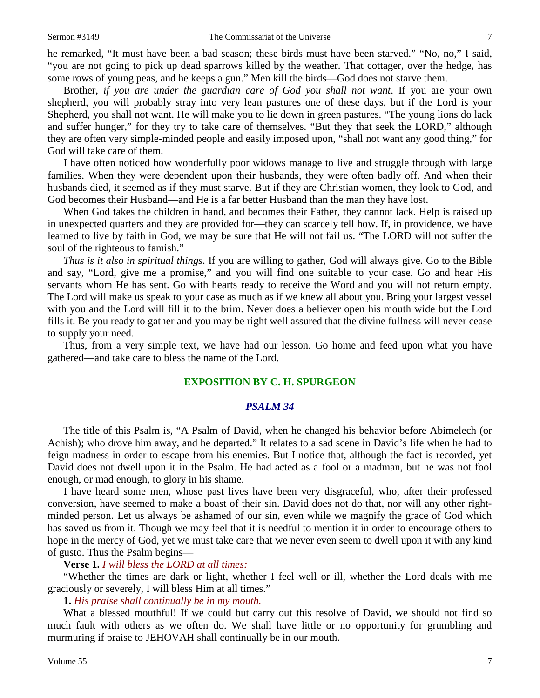he remarked, "It must have been a bad season; these birds must have been starved." "No, no," I said, "you are not going to pick up dead sparrows killed by the weather. That cottager, over the hedge, has some rows of young peas, and he keeps a gun." Men kill the birds—God does not starve them.

Brother, *if you are under the guardian care of God you shall not want*. If you are your own shepherd, you will probably stray into very lean pastures one of these days, but if the Lord is your Shepherd, you shall not want. He will make you to lie down in green pastures. "The young lions do lack and suffer hunger," for they try to take care of themselves. "But they that seek the LORD," although they are often very simple-minded people and easily imposed upon, "shall not want any good thing," for God will take care of them.

I have often noticed how wonderfully poor widows manage to live and struggle through with large families. When they were dependent upon their husbands, they were often badly off. And when their husbands died, it seemed as if they must starve. But if they are Christian women, they look to God, and God becomes their Husband—and He is a far better Husband than the man they have lost.

When God takes the children in hand, and becomes their Father, they cannot lack. Help is raised up in unexpected quarters and they are provided for—they can scarcely tell how. If, in providence, we have learned to live by faith in God, we may be sure that He will not fail us. "The LORD will not suffer the soul of the righteous to famish."

*Thus is it also in spiritual things*. If you are willing to gather, God will always give. Go to the Bible and say, "Lord, give me a promise," and you will find one suitable to your case. Go and hear His servants whom He has sent. Go with hearts ready to receive the Word and you will not return empty. The Lord will make us speak to your case as much as if we knew all about you. Bring your largest vessel with you and the Lord will fill it to the brim. Never does a believer open his mouth wide but the Lord fills it. Be you ready to gather and you may be right well assured that the divine fullness will never cease to supply your need.

Thus, from a very simple text, we have had our lesson. Go home and feed upon what you have gathered—and take care to bless the name of the Lord.

## **EXPOSITION BY C. H. SPURGEON**

#### *PSALM 34*

The title of this Psalm is, "A Psalm of David, when he changed his behavior before Abimelech (or Achish); who drove him away, and he departed." It relates to a sad scene in David's life when he had to feign madness in order to escape from his enemies. But I notice that, although the fact is recorded, yet David does not dwell upon it in the Psalm. He had acted as a fool or a madman, but he was not fool enough, or mad enough, to glory in his shame.

I have heard some men, whose past lives have been very disgraceful, who, after their professed conversion, have seemed to make a boast of their sin. David does not do that, nor will any other rightminded person. Let us always be ashamed of our sin, even while we magnify the grace of God which has saved us from it. Though we may feel that it is needful to mention it in order to encourage others to hope in the mercy of God, yet we must take care that we never even seem to dwell upon it with any kind of gusto. Thus the Psalm begins—

## **Verse 1.** *I will bless the LORD at all times:*

"Whether the times are dark or light, whether I feel well or ill, whether the Lord deals with me graciously or severely, I will bless Him at all times."

#### **1.** *His praise shall continually be in my mouth.*

What a blessed mouthful! If we could but carry out this resolve of David, we should not find so much fault with others as we often do. We shall have little or no opportunity for grumbling and murmuring if praise to JEHOVAH shall continually be in our mouth.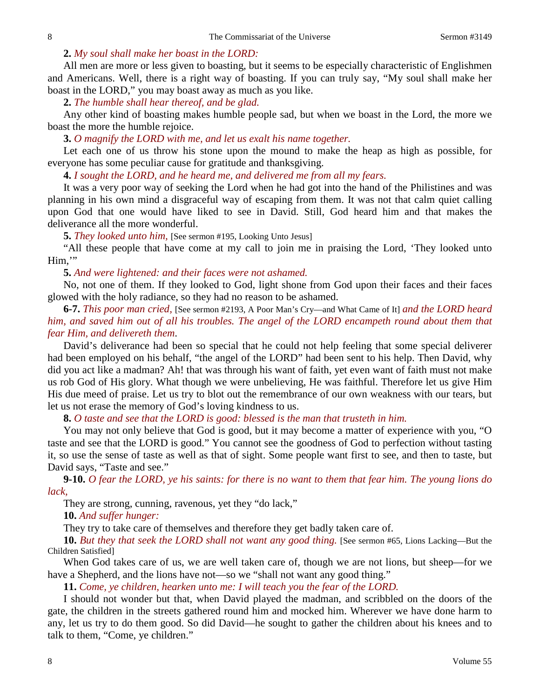#### **2.** *My soul shall make her boast in the LORD:*

All men are more or less given to boasting, but it seems to be especially characteristic of Englishmen and Americans. Well, there is a right way of boasting. If you can truly say, "My soul shall make her boast in the LORD," you may boast away as much as you like.

**2.** *The humble shall hear thereof, and be glad.*

Any other kind of boasting makes humble people sad, but when we boast in the Lord, the more we boast the more the humble rejoice.

**3.** *O magnify the LORD with me, and let us exalt his name together.*

Let each one of us throw his stone upon the mound to make the heap as high as possible, for everyone has some peculiar cause for gratitude and thanksgiving.

**4.** *I sought the LORD, and he heard me, and delivered me from all my fears.*

It was a very poor way of seeking the Lord when he had got into the hand of the Philistines and was planning in his own mind a disgraceful way of escaping from them. It was not that calm quiet calling upon God that one would have liked to see in David. Still, God heard him and that makes the deliverance all the more wonderful.

**5.** *They looked unto him,* [See sermon #195, Looking Unto Jesus]

"All these people that have come at my call to join me in praising the Lord, 'They looked unto Him,'"

**5.** *And were lightened: and their faces were not ashamed.*

No, not one of them. If they looked to God, light shone from God upon their faces and their faces glowed with the holy radiance, so they had no reason to be ashamed.

**6-7.** *This poor man cried,* [See sermon #2193, A Poor Man's Cry—and What Came of It] *and the LORD heard him, and saved him out of all his troubles. The angel of the LORD encampeth round about them that fear Him, and delivereth them*.

David's deliverance had been so special that he could not help feeling that some special deliverer had been employed on his behalf, "the angel of the LORD" had been sent to his help. Then David, why did you act like a madman? Ah! that was through his want of faith, yet even want of faith must not make us rob God of His glory. What though we were unbelieving, He was faithful. Therefore let us give Him His due meed of praise. Let us try to blot out the remembrance of our own weakness with our tears, but let us not erase the memory of God's loving kindness to us.

**8.** *O taste and see that the LORD is good: blessed is the man that trusteth in him.*

You may not only believe that God is good, but it may become a matter of experience with you, "O taste and see that the LORD is good." You cannot see the goodness of God to perfection without tasting it, so use the sense of taste as well as that of sight. Some people want first to see, and then to taste, but David says, "Taste and see."

**9-10.** *O fear the LORD, ye his saints: for there is no want to them that fear him. The young lions do lack,*

They are strong, cunning, ravenous, yet they "do lack,"

**10.** *And suffer hunger:*

They try to take care of themselves and therefore they get badly taken care of.

**10.** *But they that seek the LORD shall not want any good thing.* [See sermon #65, Lions Lacking—But the Children Satisfied]

When God takes care of us, we are well taken care of, though we are not lions, but sheep—for we have a Shepherd, and the lions have not—so we "shall not want any good thing."

**11.** *Come, ye children, hearken unto me: I will teach you the fear of the LORD.*

I should not wonder but that, when David played the madman, and scribbled on the doors of the gate, the children in the streets gathered round him and mocked him. Wherever we have done harm to any, let us try to do them good. So did David—he sought to gather the children about his knees and to talk to them, "Come, ye children."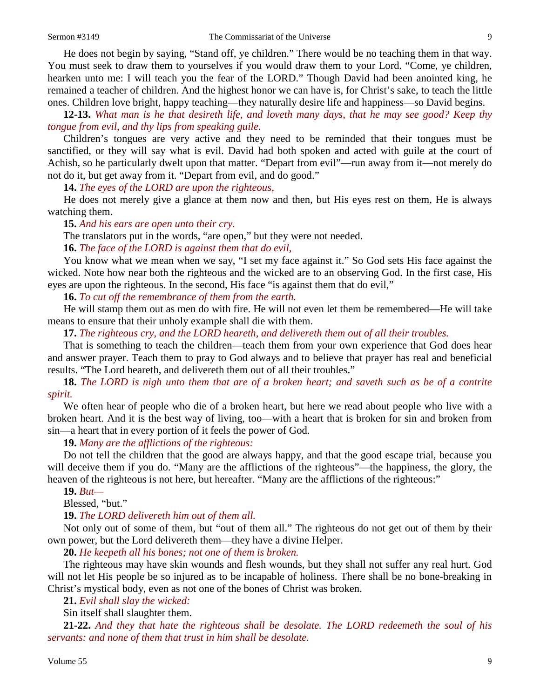He does not begin by saying, "Stand off, ye children." There would be no teaching them in that way. You must seek to draw them to yourselves if you would draw them to your Lord. "Come, ye children, hearken unto me: I will teach you the fear of the LORD." Though David had been anointed king, he remained a teacher of children. And the highest honor we can have is, for Christ's sake, to teach the little ones. Children love bright, happy teaching—they naturally desire life and happiness—so David begins.

**12-13.** *What man is he that desireth life, and loveth many days, that he may see good? Keep thy tongue from evil, and thy lips from speaking guile.* 

Children's tongues are very active and they need to be reminded that their tongues must be sanctified, or they will say what is evil. David had both spoken and acted with guile at the court of Achish, so he particularly dwelt upon that matter. "Depart from evil"—run away from it—not merely do not do it, but get away from it. "Depart from evil, and do good."

**14.** *The eyes of the LORD are upon the righteous,*

He does not merely give a glance at them now and then, but His eyes rest on them, He is always watching them.

**15.** *And his ears are open unto their cry.* 

The translators put in the words, "are open," but they were not needed.

**16.** *The face of the LORD is against them that do evil,*

You know what we mean when we say, "I set my face against it." So God sets His face against the wicked. Note how near both the righteous and the wicked are to an observing God. In the first case, His eyes are upon the righteous. In the second, His face "is against them that do evil,"

**16.** *To cut off the remembrance of them from the earth.*

He will stamp them out as men do with fire. He will not even let them be remembered—He will take means to ensure that their unholy example shall die with them.

**17.** *The righteous cry, and the LORD heareth, and delivereth them out of all their troubles.*

That is something to teach the children—teach them from your own experience that God does hear and answer prayer. Teach them to pray to God always and to believe that prayer has real and beneficial results. "The Lord heareth, and delivereth them out of all their troubles."

**18.** *The LORD is nigh unto them that are of a broken heart; and saveth such as be of a contrite spirit.*

We often hear of people who die of a broken heart, but here we read about people who live with a broken heart. And it is the best way of living, too—with a heart that is broken for sin and broken from sin—a heart that in every portion of it feels the power of God.

**19.** *Many are the afflictions of the righteous:*

Do not tell the children that the good are always happy, and that the good escape trial, because you will deceive them if you do. "Many are the afflictions of the righteous"—the happiness, the glory, the heaven of the righteous is not here, but hereafter. "Many are the afflictions of the righteous:"

**19.** *But—*

Blessed, "but."

**19.** *The LORD delivereth him out of them all.*

Not only out of some of them, but "out of them all." The righteous do not get out of them by their own power, but the Lord delivereth them—they have a divine Helper.

**20.** *He keepeth all his bones; not one of them is broken.*

The righteous may have skin wounds and flesh wounds, but they shall not suffer any real hurt. God will not let His people be so injured as to be incapable of holiness. There shall be no bone-breaking in Christ's mystical body, even as not one of the bones of Christ was broken.

**21.** *Evil shall slay the wicked:*

Sin itself shall slaughter them.

**21-22.** *And they that hate the righteous shall be desolate. The LORD redeemeth the soul of his servants: and none of them that trust in him shall be desolate.*